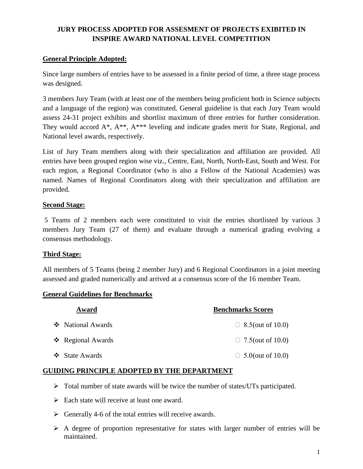## **JURY PROCESS ADOPTED FOR ASSESMENT OF PROJECTS EXIBITED IN INSPIRE AWARD NATIONAL LEVEL COMPETITION**

### **General Principle Adopted:**

Since large numbers of entries have to be assessed in a finite period of time, a three stage process was designed.

3 members Jury Team (with at least one of the members being proficient both in Science subjects and a language of the region) was constituted. General guideline is that each Jury Team would assess 24-31 project exhibits and shortlist maximum of three entries for further consideration. They would accord A\*, A\*\*, A\*\*\* leveling and indicate grades merit for State, Regional, and National level awards, respectively.

List of Jury Team members along with their specialization and affiliation are provided. All entries have been grouped region wise viz., Centre, East, North, North-East, South and West. For each region, a Regional Coordinator (who is also a Fellow of the National Academies) was named. Names of Regional Coordinators along with their specialization and affiliation are provided.

### **Second Stage:**

5 Teams of 2 members each were constituted to visit the entries shortlisted by various 3 members Jury Team (27 of them) and evaluate through a numerical grading evolving a consensus methodology.

### **Third Stage:**

All members of 5 Teams (being 2 member Jury) and 6 Regional Coordinators in a joint meeting assessed and graded numerically and arrived at a consensus score of the 16 member Team.

### **General Guidelines for Benchmarks**

| Award                           | <b>Benchmarks Scores</b> |
|---------------------------------|--------------------------|
| ❖ National Awards               | $\Box$ 8.5(out of 10.0)  |
| $\triangleleft$ Regional Awards | $\Box$ 7.5(out of 10.0)  |
| ❖ State Awards                  | $\Box$ 5.0(out of 10.0)  |

### **GUIDING PRINCIPLE ADOPTED BY THE DEPARTMENT**

- $\triangleright$  Total number of state awards will be twice the number of states/UTs participated.
- $\triangleright$  Each state will receive at least one award.
- $\triangleright$  Generally 4-6 of the total entries will receive awards.
- $\triangleright$  A degree of proportion representative for states with larger number of entries will be maintained.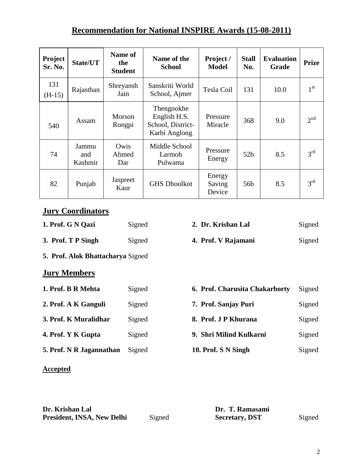# **Recommendation for National INSPIRE Awards (15-08-2011)**

| Project<br><b>Sr. No.</b> | State/UT                | Name of<br>the<br><b>Student</b> | Name of the<br><b>School</b>                                     | Project /<br><b>Model</b>  | <b>Stall</b><br>No. | <b>Evaluation</b><br>Grade | Prize           |
|---------------------------|-------------------------|----------------------------------|------------------------------------------------------------------|----------------------------|---------------------|----------------------------|-----------------|
| 131<br>$(H-15)$           | Rajasthan               | Shreyansh<br>Jain                | Sanskriti World<br>School, Ajmer                                 | Tesla Coil                 | 131                 | 10.0                       | 1 <sup>st</sup> |
| 540                       | Assam                   | <b>Morson</b><br>Rongpi          | Thengnokhe<br>English H.S.<br>School, District-<br>Karbi Anglong | Pressure<br>Miracle        | 368                 | 9.0                        | 2 <sup>nd</sup> |
| 74                        | Jammu<br>and<br>Kashmir | Owis<br>Ahmed<br>Dar             | Middle School<br>Larmoh<br>Pulwama                               | Pressure<br>Energy         | 52 <sub>b</sub>     | 8.5                        | $3^{rd}$        |
| 82                        | Punjab                  | Jaspreet<br>Kaur                 | <b>GHS Dhoolkot</b>                                              | Energy<br>Saving<br>Device | 56 <sub>b</sub>     | 8.5                        | $3^{\text{rd}}$ |

# **Jury Coordinators**

| 1. Prof. G N Qazi   | Signed                                   | 2. Dr. Krishan Lal  | Signed |  |  |  |  |  |  |  |
|---------------------|------------------------------------------|---------------------|--------|--|--|--|--|--|--|--|
| 3. Prof. T P Singh  | Signed                                   | 4. Prof. V Rajamani | Signed |  |  |  |  |  |  |  |
|                     | <b>5. Prof. Alok Bhattacharya Signed</b> |                     |        |  |  |  |  |  |  |  |
| <b>Jury Members</b> |                                          |                     |        |  |  |  |  |  |  |  |

| Signed |
|--------|
| Signed |
| Signed |
| Signed |
| Signed |
|        |

## **Accepted**

| Dr. Krishan Lal            | Dr. T. Ramasami |                       |        |
|----------------------------|-----------------|-----------------------|--------|
| President, INSA, New Delhi | Signed          | <b>Secretary, DST</b> | Signed |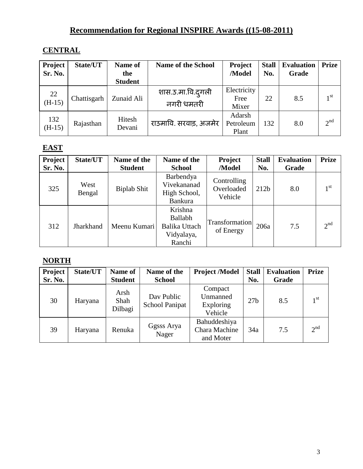# **Recommendation for Regional INSPIRE Awards ((15-08-2011)**

# **CENTRAL**

| Project<br>Sr. No. | State/UT    | Name of<br>the<br><b>Student</b> | <b>Name of the School</b>       | <b>Project</b><br>/Model     | <b>Stall</b><br>No. | <b>Evaluation</b><br>Grade | <b>Prize</b>    |
|--------------------|-------------|----------------------------------|---------------------------------|------------------------------|---------------------|----------------------------|-----------------|
| 22<br>$(H-15)$     | Chattisgarh | Zunaid Ali                       | शास.उ.मा.वि.दुगली<br>नगरी धमतरी | Electricity<br>Free<br>Mixer | 22                  | 8.5                        | 1 <sup>st</sup> |
| 132<br>$(H-15)$    | Rajasthan   | Hitesh<br>Devani                 | राउमावि. सरवाड़, अजमेर          | Adarsh<br>Petroleum<br>Plant | 132                 | 8.0                        | 2 <sup>nd</sup> |

# **EAST**

| <b>Project</b><br>Sr. No. | State/UT       | Name of the<br><b>Student</b> | Name of the<br><b>School</b>                                | <b>Project</b><br>/Model             | <b>Stall</b><br>No. | <b>Evaluation</b><br>Grade | <b>Prize</b>    |
|---------------------------|----------------|-------------------------------|-------------------------------------------------------------|--------------------------------------|---------------------|----------------------------|-----------------|
| 325                       | West<br>Bengal | Biplab Shit                   | Barbendya<br>Vivekananad<br>High School,<br><b>Bankura</b>  | Controlling<br>Overloaded<br>Vehicle | 212 <sub>b</sub>    | 8.0                        | 1 <sup>st</sup> |
| 312                       | Jharkhand      | Meenu Kumari                  | Krishna<br>Ballabh<br>Balika Uttach<br>Vidyalaya,<br>Ranchi | <b>Transformation</b><br>of Energy   | 206a                | 7.5                        | 2 <sup>nd</sup> |

## **NORTH**

| Project<br>Sr. No. | State/UT | Name of<br><b>Student</b> | Name of the                         | <b>Project /Model</b>                       | <b>Stall</b>    | <b>Evaluation</b> | <b>Prize</b>    |
|--------------------|----------|---------------------------|-------------------------------------|---------------------------------------------|-----------------|-------------------|-----------------|
|                    |          |                           | <b>School</b>                       |                                             | No.             | Grade             |                 |
| 30                 | Haryana  | Arsh<br>Shah<br>Dilbagi   | Day Public<br><b>School Panipat</b> | Compact<br>Unmanned<br>Exploring<br>Vehicle | 27 <sub>b</sub> | 8.5               | 1 <sup>st</sup> |
| 39                 | Haryana  | Renuka                    | Ggsss Arya<br>Nager                 | Bahuddeshiya<br>Chara Machine<br>and Moter  | 34a             | 7.5               | 2 <sup>nd</sup> |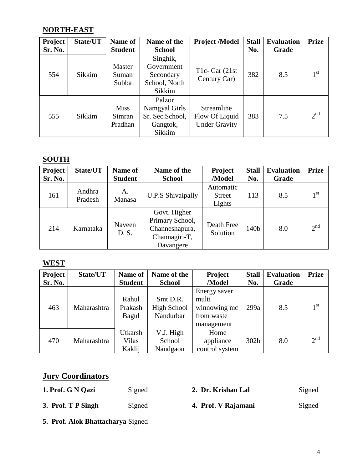# **NORTH-EAST**

| <b>Project</b> | State/UT | Name of                          | Name of the                                                      | <b>Project /Model</b>                                | <b>Stall</b> | <b>Evaluation</b> | <b>Prize</b>    |
|----------------|----------|----------------------------------|------------------------------------------------------------------|------------------------------------------------------|--------------|-------------------|-----------------|
| Sr. No.        |          | <b>Student</b>                   | <b>School</b>                                                    |                                                      | No.          | Grade             |                 |
| 554            | Sikkim   | Master<br>Suman<br>Subba         | Singhik,<br>Government<br>Secondary<br>School, North<br>Sikkim   | T <sub>1</sub> c- Car $(21st)$<br>Century Car)       | 382          | 8.5               | 1 <sup>st</sup> |
| 555            | Sikkim   | <b>Miss</b><br>Simran<br>Pradhan | Palzor<br>Namgyal Girls<br>Sr. Sec.School,<br>Gangtok,<br>Sikkim | Streamline<br>Flow Of Liquid<br><b>Under Gravity</b> | 383          | 7.5               | 2 <sup>nd</sup> |

# **SOUTH**

| <b>Project</b><br>Sr. No. | State/UT          | Name of<br><b>Student</b> | Name of the<br><b>School</b>                                                    | Project<br>/Model                    | <b>Stall</b><br>No. | <b>Evaluation</b><br>Grade | <b>Prize</b>    |
|---------------------------|-------------------|---------------------------|---------------------------------------------------------------------------------|--------------------------------------|---------------------|----------------------------|-----------------|
| 161                       | Andhra<br>Pradesh | Α.<br>Manasa              | <b>U.P.S Shivaipally</b>                                                        | Automatic<br><b>Street</b><br>Lights | 113                 | 8.5                        | 1 <sup>st</sup> |
| 214                       | Karnataka         | Naveen<br>D. S.           | Govt. Higher<br>Primary School,<br>Channeshapura,<br>Channagiri-T,<br>Davangere | Death Free<br>Solution               | 140b                | 8.0                        | 2 <sup>nd</sup> |

# **WEST**

| Project        | State/UT    | Name of                    | Name of the                          | Project                                                           | <b>Stall</b> | <b>Evaluation</b> | <b>Prize</b>    |
|----------------|-------------|----------------------------|--------------------------------------|-------------------------------------------------------------------|--------------|-------------------|-----------------|
| <b>Sr. No.</b> |             | <b>Student</b>             | <b>School</b>                        | /Model                                                            | No.          | Grade             |                 |
| 463            | Maharashtra | Rahul<br>Prakash<br>Bagul  | Smt D.R.<br>High School<br>Nandurbar | Energy saver<br>multi<br>winnowing mc<br>from waste<br>management | 299a         | 8.5               | 1 <sup>st</sup> |
| 470            | Maharashtra | Utkarsh<br>Vilas<br>Kaklij | V.J. High<br>School<br>Nandgaon      | Home<br>appliance<br>control system                               | 302b         | 8.0               | 2 <sup>nd</sup> |

# **Jury Coordinators**

| 1. Prof. G N Qazi  | Signed | 2. Dr. Krishan Lal  | Signed |
|--------------------|--------|---------------------|--------|
| 3. Prof. T P Singh | Signed | 4. Prof. V Rajamani | Signed |

**5. Prof. Alok Bhattacharya** Signed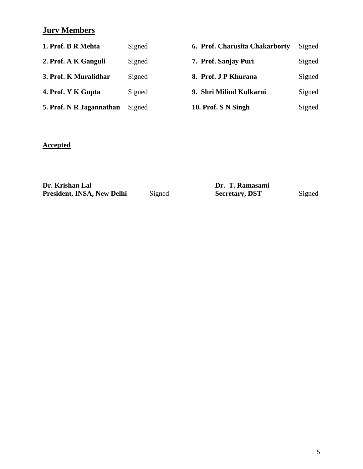# **Jury Members**

| 1. Prof. B R Mehta       | Signed | 6. Prof. Charusita Chakarborty | Signed |
|--------------------------|--------|--------------------------------|--------|
| 2. Prof. A K Ganguli     | Signed | 7. Prof. Sanjay Puri           | Signed |
| 3. Prof. K Muralidhar    | Signed | 8. Prof. J P Khurana           | Signed |
| 4. Prof. Y K Gupta       | Signed | 9. Shri Milind Kulkarni        | Signed |
| 5. Prof. N R Jagannathan | Signed | 10. Prof. S N Singh            | Signed |
|                          |        |                                |        |

# **Accepted**

| Dr. Krishan Lal            |        | Dr. T. Ramasami       |        |  |  |
|----------------------------|--------|-----------------------|--------|--|--|
| President, INSA, New Delhi | Signed | <b>Secretary, DST</b> | Signed |  |  |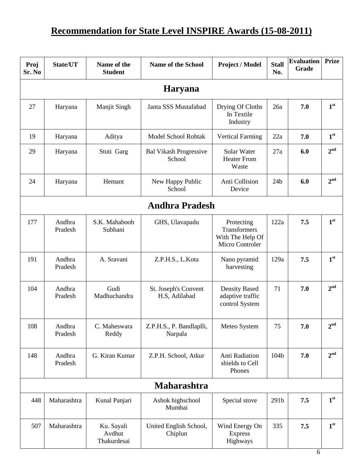# **Recommendation for State Level INSPIRE Awards (15-08-2011)**

| Proj<br>Sr. No | State/UT          | Name of the<br><b>Student</b>       | <b>Name of the School</b>               | Project / Model                                                   | <b>Stall</b><br>No. | <b>Evaluation</b><br>Grade | <b>Prize</b>    |  |  |
|----------------|-------------------|-------------------------------------|-----------------------------------------|-------------------------------------------------------------------|---------------------|----------------------------|-----------------|--|--|
|                | <b>Haryana</b>    |                                     |                                         |                                                                   |                     |                            |                 |  |  |
| 27             | Haryana           | Manjit Singh                        | Janta SSS Mustafabad                    | Drying Of Cloths<br>In Textile<br>Industry                        | 26a                 | 7.0                        | 1 <sup>st</sup> |  |  |
| 19             | Haryana           | Aditya                              | Model School Rohtak                     | <b>Vertical Farming</b>                                           | 22a                 | 7.0                        | 1 <sup>st</sup> |  |  |
| 29             | Haryana           | Stuti Garg                          | <b>Bal Vikash Progressive</b><br>School | Solar Water<br><b>Heater From</b><br>Waste                        | 27a                 | 6.0                        | 2 <sup>nd</sup> |  |  |
| 24             | Haryana           | Hemant                              | New Happy Public<br>School              | Anti Collision<br>Device                                          | 24 <sub>b</sub>     | 6.0                        | 2 <sup>nd</sup> |  |  |
|                |                   |                                     | <b>Andhra Pradesh</b>                   |                                                                   |                     |                            |                 |  |  |
| 177            | Andhra<br>Pradesh | S.K. Mahaboob<br>Subhani            | GHS, Ulavapadu                          | Protecting<br>Transformers<br>With The Help Of<br>Micro Controler | 122a                | 7.5                        | 1 <sup>st</sup> |  |  |
| 191            | Andhra<br>Pradesh | A. Sravani                          | Z.P.H.S., L.Kota                        | Nano pyramid<br>harvesting                                        | 129a                | 7.5                        | 1 <sup>st</sup> |  |  |
| 104            | Andhra<br>Pradesh | Gudi<br>Madhuchandra                | St. Joseph's Convent<br>H.S, Adilabad   | Density Based<br>adaptive traffic<br>control System               | 71                  | 7.0                        | 2 <sup>nd</sup> |  |  |
| 108            | Andhra<br>Pradesh | C. Maheswara<br>Reddy               | Z.P.H.S., P. Bandlaplli,<br>Narpala     | Meteo System                                                      | 75                  | 7.0                        | 2 <sup>nd</sup> |  |  |
| 148            | Andhra<br>Pradesh | G. Kiran Kumar                      | Z.P.H. School, Atkur                    | Anti Radiation<br>shields to Cell<br>Phones                       | 104b                | 7.0                        | 2 <sup>nd</sup> |  |  |
|                |                   |                                     | <b>Maharashtra</b>                      |                                                                   |                     |                            |                 |  |  |
| 448            | Maharashtra       | Kunal Panjari                       | Ashok highschool<br>Mumbai              | Special stove                                                     | 291b                | 7.5                        | 1 <sup>st</sup> |  |  |
| 507            | Maharashtra       | Ku. Sayali<br>Avdhut<br>Thakurdesai | United English School,<br>Chiplun       | Wind Energy On<br><b>Express</b><br>Highways                      | 335                 | 7.5                        | 1 <sup>st</sup> |  |  |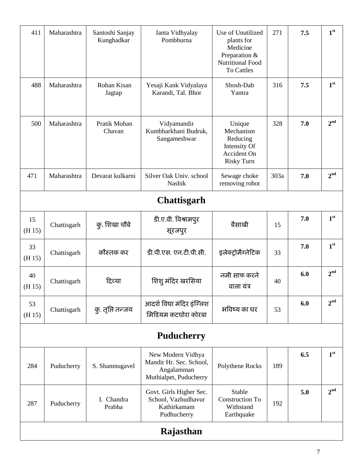| 411          | Maharashtra       | Santoshi Sanjay<br>Kunghadkar | Janta Vidhyalay<br>Pombhurna                                                         | Use of Unutilized<br>plants for<br>Medicine<br>Preparation &<br><b>Nutritional Food</b><br><b>To Cattles</b> | 271  | 7.5 | 1 <sup>st</sup> |
|--------------|-------------------|-------------------------------|--------------------------------------------------------------------------------------|--------------------------------------------------------------------------------------------------------------|------|-----|-----------------|
| 488          | Maharashtra       | Rohan Kisan<br>Jagtap         | Yesaji Kank Vidyalaya<br>Karandi, Tal. Bhor                                          | Shosh-Dab<br>Yantra                                                                                          | 316  | 7.5 | 1 <sup>st</sup> |
| 500          | Maharashtra       | Pratik Mohan<br>Chavan        | Vidyamandir<br>Kumbharkhani Budruk,<br>Sangameshwar                                  | Unique<br>Mechanism<br>Reducing<br>Intensity Of<br><b>Accident On</b><br><b>Risky Turn</b>                   | 328  | 7.0 | 2 <sup>nd</sup> |
| 471          | Maharashtra       | Devarat kulkarni              | Silver Oak Univ. school<br>Nashik                                                    | Sewage choke<br>removing robot                                                                               | 303a | 7.0 | 2 <sup>nd</sup> |
|              |                   |                               | <b>Chattisgarh</b>                                                                   |                                                                                                              |      |     |                 |
| 15<br>(H 15) | Chattisgarh       | कु. शिखा चौबे                 | डी.ए.वी. विश्रामपुर<br>सूरजपुर                                                       | बैसाखी                                                                                                       | 15   | 7.0 | 1 <sup>st</sup> |
| 33<br>(H 15) | Chattisgarh       | कौस्तक कर                     | डी.पी.एस. एन.टी.पी.सी.                                                               | इलेक्ट्रोमैग्नेटिक                                                                                           | 33   | 7.0 | 1 <sup>st</sup> |
| 40<br>(H 15) | Chattisgarh       | दिव्या                        | शिशु मंदिर खरसिया                                                                    | नमी साफ करने<br>वाला यंत्र                                                                                   | 40   | 6.0 | 2 <sup>nd</sup> |
| 53<br>(H 15) | Chattisgarh       | कु. तृप्ति तन्जय              | आदर्श विद्या मंदिर इंग्लिश<br>मिडियम कटघोरा कोरबा                                    | भविष्य का घर                                                                                                 | 53   | 6.0 | 2 <sup>nd</sup> |
|              | <b>Puducherry</b> |                               |                                                                                      |                                                                                                              |      |     |                 |
| 284          | Puducherry        | S. Shanmugavel                | New Modern Vidhya<br>Mandir Hr. Sec. School,<br>Angalamman<br>Muthialpet, Puducherry | Polythene Rocks                                                                                              | 189  | 6.5 | 1 <sup>st</sup> |
| 287          | Puducherry        | I. Chandra<br>Prabha          | Govt. Girls Higher Sec.<br>School, Vazhudhavur<br>Kathirkamam<br>Pudhucherry         | Stable<br><b>Construction To</b><br>Withstand<br>Earthquake                                                  | 192  | 5.0 | 2 <sup>nd</sup> |
|              | Rajasthan         |                               |                                                                                      |                                                                                                              |      |     |                 |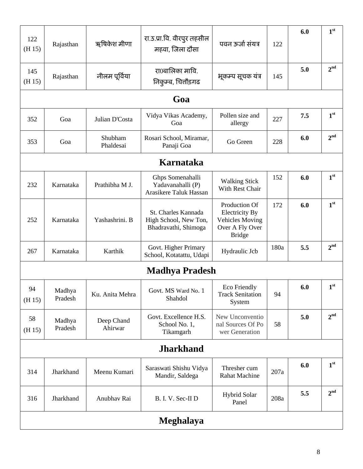| 122<br>(H 15) | Rajasthan         | ऋषिकेश मीणा           | रा.उ.प्रा.वि. वीरपुर तहसील<br>महवा, जिला दौसा                        | पवन ऊर्जा संयत्र                                                                                     | 122  | 6.0 | 1 <sup>st</sup> |
|---------------|-------------------|-----------------------|----------------------------------------------------------------------|------------------------------------------------------------------------------------------------------|------|-----|-----------------|
| 145<br>(H 15) | Rajasthan         | नीलम पूर्विया         | रा0बालिका मावि.<br>निकुम्ब, चित्तौड़गढ                               | भूकम्प सूचक यंत्र                                                                                    | 145  | 5.0 | 2 <sup>nd</sup> |
|               |                   |                       | Goa                                                                  |                                                                                                      |      |     |                 |
| 352           | Goa               | Julian D'Costa        | Vidya Vikas Academy,<br>Goa                                          | Pollen size and<br>allergy                                                                           | 227  | 7.5 | 1 <sup>st</sup> |
| 353           | Goa               | Shubham<br>Phaldesai  | Rosari School, Miramar,<br>Panaji Goa                                | Go Green                                                                                             | 228  | 6.0 | 2 <sup>nd</sup> |
|               |                   |                       | Karnataka                                                            |                                                                                                      |      |     |                 |
| 232           | Karnataka         | Prathibha M J.        | Ghps Somenahalli<br>Yadavanahalli (P)<br>Arasikere Taluk Hassan      | <b>Walking Stick</b><br>With Rest Chair                                                              | 152  | 6.0 | 1 <sup>st</sup> |
| 252           | Karnataka         | Yashashrini. B        | St. Charles Kannada<br>High School, New Ton,<br>Bhadravathi, Shimoga | Production Of<br><b>Electricity By</b><br><b>Vehicles Moving</b><br>Over A Fly Over<br><b>Bridge</b> | 172  | 6.0 | 1 <sup>st</sup> |
| 267           | Karnataka         | Karthik               | Govt. Higher Primary<br>School, Kotatattu, Udapi                     | Hydraulic Jcb                                                                                        | 180a | 5.5 | 2 <sup>nd</sup> |
|               |                   |                       | <b>Madhya Pradesh</b>                                                |                                                                                                      |      |     |                 |
| 94<br>(H 15)  | Madhya<br>Pradesh | Ku. Anita Mehra       | Govt. MS Ward No. 1<br>Shahdol                                       | <b>Eco Friendly</b><br><b>Track Senitation</b><br>System                                             | 94   | 6.0 | 1 <sup>st</sup> |
| 58<br>(H 15)  | Madhya<br>Pradesh | Deep Chand<br>Ahirwar | Govt. Excellence H.S.<br>School No. 1,<br>Tikamgarh                  | New Unconventio<br>nal Sources Of Po<br>wer Generation                                               | 58   | 5.0 | 2 <sup>nd</sup> |
|               |                   |                       | <b>Jharkhand</b>                                                     |                                                                                                      |      |     |                 |
| 314           | Jharkhand         | Meenu Kumari          | Saraswati Shishu Vidya<br>Mandir, Saldega                            | Thresher cum<br><b>Rahat Machine</b>                                                                 | 207a | 6.0 | 1 <sup>st</sup> |
| 316           | Jharkhand         | Anubhav Rai           | B. I. V. Sec-II D                                                    | <b>Hybrid Solar</b><br>Panel                                                                         | 208a | 5.5 | 2 <sup>nd</sup> |
|               |                   |                       | Meghalaya                                                            |                                                                                                      |      |     |                 |
|               |                   |                       |                                                                      |                                                                                                      |      |     |                 |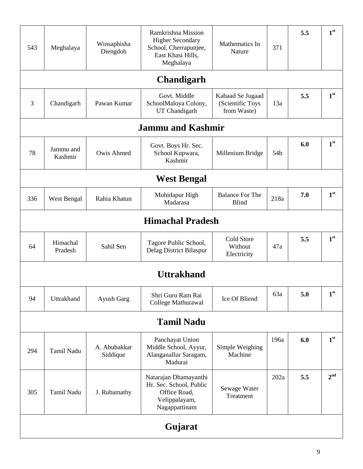| 543 | Meghalaya            | Winsaphisha<br>Diengdoh  | Ramkrishna Mission<br><b>Higher Secondary</b><br>School, Cherrapunjee,<br>East Khasi Hills,<br>Meghalaya | Mathematics In<br>Nature                            | 371  | 5.5 | 1 <sup>st</sup> |
|-----|----------------------|--------------------------|----------------------------------------------------------------------------------------------------------|-----------------------------------------------------|------|-----|-----------------|
|     |                      |                          | <b>Chandigarh</b>                                                                                        |                                                     |      |     |                 |
| 3   | Chandigarh           | Pawan Kumar              | Govt. Middle<br>SchoolMaloya Colony,<br>UT Chandigarh                                                    | Kabaad Se Jugaad<br>(Scientific Toys<br>from Waste) | 13a  | 5.5 | 1 <sup>st</sup> |
|     |                      |                          | <b>Jammu and Kashmir</b>                                                                                 |                                                     |      |     |                 |
| 78  | Jammu and<br>Kashmir | Owis Ahmed               | Govt. Boys Hr. Sec.<br>School Kupwara,<br>Kashmir                                                        | Millenium Bridge                                    | 54b  | 6.0 | 1 <sup>st</sup> |
|     |                      |                          | <b>West Bengal</b>                                                                                       |                                                     |      |     |                 |
| 336 | West Bengal          | Rahia Khatun             | Mohidapur High<br>Madarasa                                                                               | <b>Balance For The</b><br><b>Blind</b>              | 218a | 7.0 | 1 <sup>st</sup> |
|     |                      |                          | <b>Himachal Pradesh</b>                                                                                  |                                                     |      |     |                 |
| 64  | Himachal<br>Pradesh  | Sahil Sen                | Tagore Public School,<br>Delag District Bilaspur                                                         | Cold Store<br>Without<br>Electricity                | 47a  | 5.5 | 1 <sup>st</sup> |
|     |                      |                          | <b>Uttrakhand</b>                                                                                        |                                                     |      |     |                 |
| 94  | Uttrakhand           | Ayush Garg               | Shri Guru Ram Rai<br>College Mathurawal                                                                  | Ice Of Bliend                                       | 63a  | 5.0 | 1 <sup>st</sup> |
|     |                      |                          | <b>Tamil Nadu</b>                                                                                        |                                                     |      |     |                 |
| 294 | Tamil Nadu           | A. Abubakkar<br>Siddique | Panchayat Union<br>Middle School, Ayyur,<br>Alanganallur Saragam,<br>Madurai                             | Simple Weighing<br>Machine                          | 196a | 6.0 | 1 <sup>st</sup> |
| 305 | Tamil Nadu           | J. Rubamathy             | Natarajan Dhamayanthi<br>Hr. Sec. School, Public<br>Office Road,<br>Velippalayam,<br>Nagappattinam       | Sewage Water<br>Treatment                           | 202a | 5.5 | 2 <sup>nd</sup> |
|     |                      |                          | Gujarat                                                                                                  |                                                     |      |     |                 |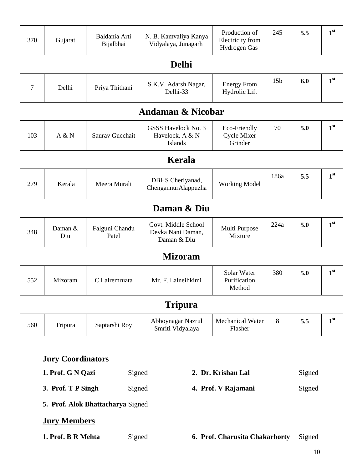| 370 | Gujarat        | Baldania Arti<br>Bijalbhai | N. B. Kamvaliya Kanya<br>Vidyalaya, Junagarh             | Production of<br>Electricity from<br><b>Hydrogen Gas</b> | 245             | 5.5 | 1 <sup>st</sup> |
|-----|----------------|----------------------------|----------------------------------------------------------|----------------------------------------------------------|-----------------|-----|-----------------|
|     |                |                            | <b>Delhi</b>                                             |                                                          |                 |     |                 |
| 7   | Delhi          | Priya Thithani             | S.K.V. Adarsh Nagar,<br>Delhi-33                         | <b>Energy From</b><br>Hydrolic Lift                      | 15 <sub>b</sub> | 6.0 | 1 <sup>st</sup> |
|     |                |                            | <b>Andaman &amp; Nicobar</b>                             |                                                          |                 |     |                 |
| 103 | A & N          | Saurav Gucchait            | <b>GSSS Havelock No. 3</b><br>Havelock, A & N<br>Islands | Eco-Friendly<br>Cycle Mixer<br>Grinder                   | 70              | 5.0 | 1 <sup>st</sup> |
|     |                |                            | Kerala                                                   |                                                          |                 |     |                 |
| 279 | Kerala         | Meera Murali               | DBHS Cheriyanad,<br>ChengannurAlappuzha                  | <b>Working Model</b>                                     | 186a            | 5.5 | 1 <sup>st</sup> |
|     |                |                            | Daman & Diu                                              |                                                          |                 |     |                 |
| 348 | Daman &<br>Diu | Falguni Chandu<br>Patel    | Govt. Middle School<br>Devka Nani Daman,<br>Daman & Diu  | Multi Purpose<br>Mixture                                 | 224a            | 5.0 | 1 <sup>st</sup> |
|     | <b>Mizoram</b> |                            |                                                          |                                                          |                 |     |                 |
| 552 | Mizoram        | C Lalremruata              | Mr. F. Lalneihkimi                                       | Solar Water<br>Purification<br>Method                    | 380             | 5.0 | 1 <sup>st</sup> |
|     |                |                            | <b>Tripura</b>                                           |                                                          |                 |     |                 |
| 560 | Tripura        | Saptarshi Roy              | Abhoynagar Nazrul<br>Smriti Vidyalaya                    | <b>Mechanical Water</b><br>Flasher                       | 8               | 5.5 | 1 <sup>st</sup> |

# **Jury Coordinators**

| 1. Prof. G N Qazi  | Signed | 2. Dr. Krishan Lal  | Signed |
|--------------------|--------|---------------------|--------|
| 3. Prof. T P Singh | Signed | 4. Prof. V Rajamani | Signed |

**5. Prof. Alok Bhattacharya** Signed

# **Jury Members**

**1. Prof. Charusita Chakarborty** Signed